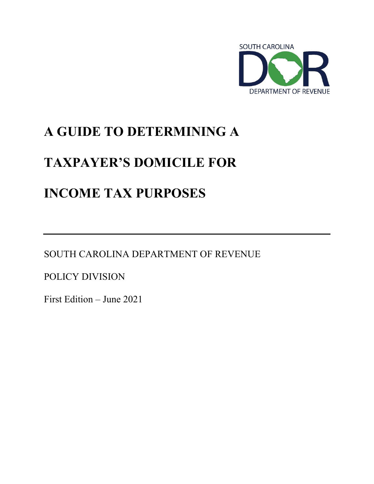

# **A GUIDE TO DETERMINING A**

# **TAXPAYER'S DOMICILE FOR**

# **INCOME TAX PURPOSES**

SOUTH CAROLINA DEPARTMENT OF REVENUE

POLICY DIVISION

First Edition – June 2021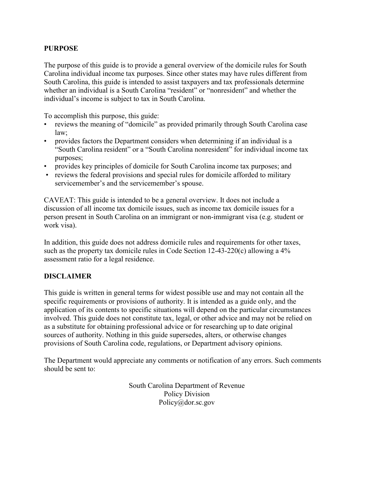### **PURPOSE**

The purpose of this guide is to provide a general overview of the domicile rules for South Carolina individual income tax purposes. Since other states may have rules different from South Carolina, this guide is intended to assist taxpayers and tax professionals determine whether an individual is a South Carolina "resident" or "nonresident" and whether the individual's income is subject to tax in South Carolina.

To accomplish this purpose, this guide:

- reviews the meaning of "domicile" as provided primarily through South Carolina case law;
- provides factors the Department considers when determining if an individual is a "South Carolina resident" or a "South Carolina nonresident" for individual income tax purposes;
- provides key principles of domicile for South Carolina income tax purposes; and
- reviews the federal provisions and special rules for domicile afforded to military servicemember's and the servicemember's spouse.

CAVEAT: This guide is intended to be a general overview. It does not include a discussion of all income tax domicile issues, such as income tax domicile issues for a person present in South Carolina on an immigrant or non-immigrant visa (e.g. student or work visa).

In addition, this guide does not address domicile rules and requirements for other taxes, such as the property tax domicile rules in Code Section 12-43-220(c) allowing a 4% assessment ratio for a legal residence.

## **DISCLAIMER**

This guide is written in general terms for widest possible use and may not contain all the specific requirements or provisions of authority. It is intended as a guide only, and the application of its contents to specific situations will depend on the particular circumstances involved. This guide does not constitute tax, legal, or other advice and may not be relied on as a substitute for obtaining professional advice or for researching up to date original sources of authority. Nothing in this guide supersedes, alters, or otherwise changes provisions of South Carolina code, regulations, or Department advisory opinions.

The Department would appreciate any comments or notification of any errors. Such comments should be sent to:

> South Carolina Department of Revenue Policy Division Policy@dor.sc.gov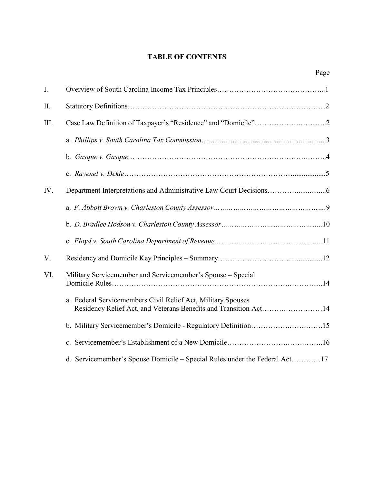## **TABLE OF CONTENTS**

Page

| I.   |                                                                                                                                  |
|------|----------------------------------------------------------------------------------------------------------------------------------|
| II.  |                                                                                                                                  |
| III. |                                                                                                                                  |
|      |                                                                                                                                  |
|      |                                                                                                                                  |
|      |                                                                                                                                  |
| IV.  |                                                                                                                                  |
|      |                                                                                                                                  |
|      |                                                                                                                                  |
|      |                                                                                                                                  |
| V.   |                                                                                                                                  |
| VI.  | Military Servicemember and Servicemember's Spouse - Special                                                                      |
|      | a. Federal Servicemembers Civil Relief Act, Military Spouses<br>Residency Relief Act, and Veterans Benefits and Transition Act14 |
|      |                                                                                                                                  |
|      |                                                                                                                                  |
|      | d. Servicemember's Spouse Domicile - Special Rules under the Federal Act17                                                       |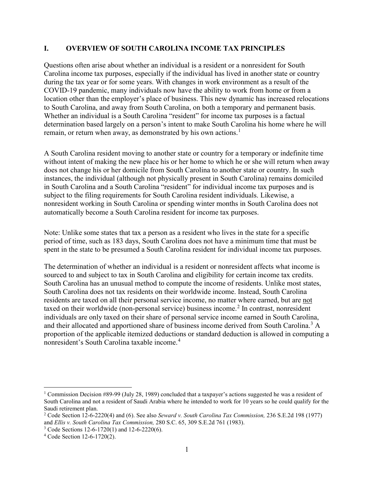#### **I. OVERVIEW OF SOUTH CAROLINA INCOME TAX PRINCIPLES**

Questions often arise about whether an individual is a resident or a nonresident for South Carolina income tax purposes, especially if the individual has lived in another state or country during the tax year or for some years. With changes in work environment as a result of the COVID-19 pandemic, many individuals now have the ability to work from home or from a location other than the employer's place of business. This new dynamic has increased relocations to South Carolina, and away from South Carolina, on both a temporary and permanent basis. Whether an individual is a South Carolina "resident" for income tax purposes is a factual determination based largely on a person's intent to make South Carolina his home where he will remain, or return when away, as demonstrated by his own actions.<sup>[1](#page-3-0)</sup>

A South Carolina resident moving to another state or country for a temporary or indefinite time without intent of making the new place his or her home to which he or she will return when away does not change his or her domicile from South Carolina to another state or country. In such instances, the individual (although not physically present in South Carolina) remains domiciled in South Carolina and a South Carolina "resident" for individual income tax purposes and is subject to the filing requirements for South Carolina resident individuals. Likewise, a nonresident working in South Carolina or spending winter months in South Carolina does not automatically become a South Carolina resident for income tax purposes.

Note: Unlike some states that tax a person as a resident who lives in the state for a specific period of time, such as 183 days, South Carolina does not have a minimum time that must be spent in the state to be presumed a South Carolina resident for individual income tax purposes.

The determination of whether an individual is a resident or nonresident affects what income is sourced to and subject to tax in South Carolina and eligibility for certain income tax credits. South Carolina has an unusual method to compute the income of residents. Unlike most states, South Carolina does not tax residents on their worldwide income. Instead, South Carolina residents are taxed on all their personal service income, no matter where earned, but are not taxed on their worldwide (non-personal service) business income.<sup>[2](#page-3-1)</sup> In contrast, nonresident individuals are only taxed on their share of personal service income earned in South Carolina, and their allocated and apportioned share of business income derived from South Carolina.<sup>[3](#page-3-2)</sup> A proportion of the applicable itemized deductions or standard deduction is allowed in computing a nonresident's South Carolina taxable income.[4](#page-3-3)

<span id="page-3-0"></span><sup>&</sup>lt;sup>1</sup> Commission Decision #89-99 (July 28, 1989) concluded that a taxpayer's actions suggested he was a resident of South Carolina and not a resident of Saudi Arabia where he intended to work for 10 years so he could qualify for the Saudi retirement plan.

<span id="page-3-1"></span><sup>2</sup> Code Section 12-6-2220(4) and (6). See also *Seward v. South Carolina Tax Commission,* 236 S.E.2d 198 (1977) and *Ellis v. South Carolina Tax Commission,* 280 S.C. 65, 309 S.E.2d 761 (1983). 3 Code Sections 12-6-1720(1) and 12-6-2220(6).

<span id="page-3-3"></span><span id="page-3-2"></span><sup>4</sup> Code Section 12-6-1720(2).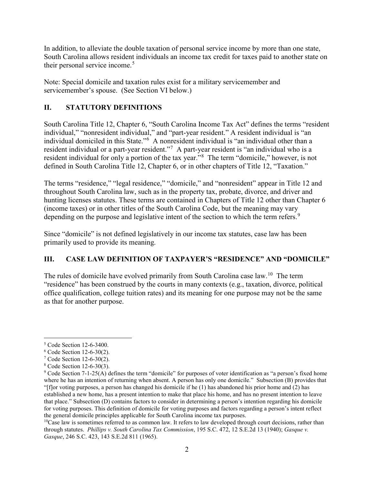In addition, to alleviate the double taxation of personal service income by more than one state, South Carolina allows resident individuals an income tax credit for taxes paid to another state on their personal service income.<sup>[5](#page-4-0)</sup>

Note: Special domicile and taxation rules exist for a military servicemember and servicemember's spouse. (See Section VI below.)

## **II. STATUTORY DEFINITIONS**

South Carolina Title 12, Chapter 6, "South Carolina Income Tax Act" defines the terms "resident individual," "nonresident individual," and "part-year resident." A resident individual is "an individual domiciled in this State."<sup>[6](#page-4-1)</sup> A nonresident individual is "an individual other than a resident individual or a part-year resident."<sup>[7](#page-4-2)</sup> A part-year resident is "an individual who is a resident individual for only a portion of the tax year."[8](#page-4-3) The term "domicile," however, is not defined in South Carolina Title 12, Chapter 6, or in other chapters of Title 12, "Taxation."

The terms "residence," "legal residence," "domicile," and "nonresident" appear in Title 12 and throughout South Carolina law, such as in the property tax, probate, divorce, and driver and hunting licenses statutes. These terms are contained in Chapters of Title 12 other than Chapter 6 (income taxes) or in other titles of the South Carolina Code, but the meaning may vary depending on the purpose and legislative intent of the section to which the term refers.<sup>[9](#page-4-4)</sup>

Since "domicile" is not defined legislatively in our income tax statutes, case law has been primarily used to provide its meaning.

## **III. CASE LAW DEFINITION OF TAXPAYER'S "RESIDENCE" AND "DOMICILE"**

The rules of domicile have evolved primarily from South Carolina case law.<sup>10</sup> The term "residence" has been construed by the courts in many contexts (e.g., taxation, divorce, political office qualification, college tuition rates) and its meaning for one purpose may not be the same as that for another purpose.

<span id="page-4-0"></span> <sup>5</sup> Code Section 12-6-3400.

<span id="page-4-1"></span> $6$  Code Section 12-6-30(2).

<span id="page-4-2"></span><sup>7</sup> Code Section 12-6-30(2).

<span id="page-4-3"></span><sup>8</sup> Code Section 12-6-30(3).

<span id="page-4-4"></span> $9$  Code Section 7-1-25(A) defines the term "domicile" for purposes of voter identification as "a person's fixed home where he has an intention of returning when absent. A person has only one domicile." Subsection (B) provides that "[f]or voting purposes, a person has changed his domicile if he (1) has abandoned his prior home and (2) has established a new home, has a present intention to make that place his home, and has no present intention to leave that place." Subsection (D) contains factors to consider in determining a person's intention regarding his domicile for voting purposes. This definition of domicile for voting purposes and factors regarding a person's intent reflect the general domicile principles applicable for South Carolina income tax purposes.<br><sup>10</sup>Case law is sometimes referred to as common law. It refers to law developed through court decisions, rather than

<span id="page-4-5"></span>through statutes. *Phillips v. South Carolina Tax Commission*, 195 S.C. 472, 12 S.E.2d 13 (1940); *Gasque v. Gasque*, 246 S.C. 423, 143 S.E.2d 811 (1965).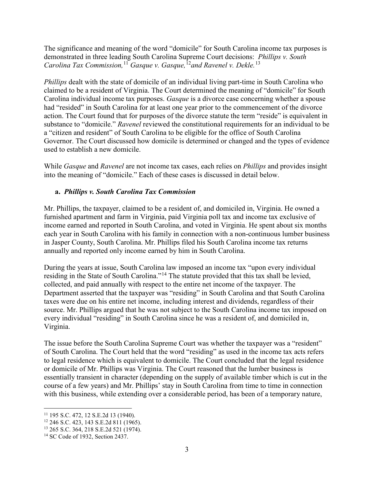The significance and meaning of the word "domicile" for South Carolina income tax purposes is demonstrated in three leading South Carolina Supreme Court decisions: *Phillips v. South Carolina Tax Commission,* [11](#page-5-0) *Gasque v. Gasque,* [12](#page-5-1)*and Ravenel v. Dekle.* [13](#page-5-2)

*Phillips* dealt with the state of domicile of an individual living part-time in South Carolina who claimed to be a resident of Virginia. The Court determined the meaning of "domicile" for South Carolina individual income tax purposes. *Gasque* is a divorce case concerning whether a spouse had "resided" in South Carolina for at least one year prior to the commencement of the divorce action. The Court found that for purposes of the divorce statute the term "reside" is equivalent in substance to "domicile." *Ravenel* reviewed the constitutional requirements for an individual to be a "citizen and resident" of South Carolina to be eligible for the office of South Carolina Governor. The Court discussed how domicile is determined or changed and the types of evidence used to establish a new domicile.

While *Gasque* and *Ravenel* are not income tax cases, each relies on *Phillips* and provides insight into the meaning of "domicile." Each of these cases is discussed in detail below.

## **a.** *Phillips v. South Carolina Tax Commission*

Mr. Phillips, the taxpayer, claimed to be a resident of, and domiciled in, Virginia. He owned a furnished apartment and farm in Virginia, paid Virginia poll tax and income tax exclusive of income earned and reported in South Carolina, and voted in Virginia. He spent about six months each year in South Carolina with his family in connection with a non-continuous lumber business in Jasper County, South Carolina. Mr. Phillips filed his South Carolina income tax returns annually and reported only income earned by him in South Carolina.

During the years at issue, South Carolina law imposed an income tax "upon every individual residing in the State of South Carolina."[14](#page-5-3) The statute provided that this tax shall be levied, collected, and paid annually with respect to the entire net income of the taxpayer. The Department asserted that the taxpayer was "residing" in South Carolina and that South Carolina taxes were due on his entire net income, including interest and dividends, regardless of their source. Mr. Phillips argued that he was not subject to the South Carolina income tax imposed on every individual "residing" in South Carolina since he was a resident of, and domiciled in, Virginia.

The issue before the South Carolina Supreme Court was whether the taxpayer was a "resident" of South Carolina. The Court held that the word "residing" as used in the income tax acts refers to legal residence which is equivalent to domicile. The Court concluded that the legal residence or domicile of Mr. Phillips was Virginia. The Court reasoned that the lumber business is essentially transient in character (depending on the supply of available timber which is cut in the course of a few years) and Mr. Phillips' stay in South Carolina from time to time in connection with this business, while extending over a considerable period, has been of a temporary nature,

<span id="page-5-0"></span><sup>&</sup>lt;sup>11</sup> 195 S.C. 472, 12 S.E.2d 13 (1940).

<span id="page-5-1"></span><sup>12</sup> 246 S.C. 423, 143 S.E.2d 811 (1965).

<span id="page-5-2"></span><sup>13</sup> 265 S.C. 364, 218 S.E.2d 521 (1974).

<span id="page-5-3"></span><sup>&</sup>lt;sup>14</sup> SC Code of 1932, Section 2437.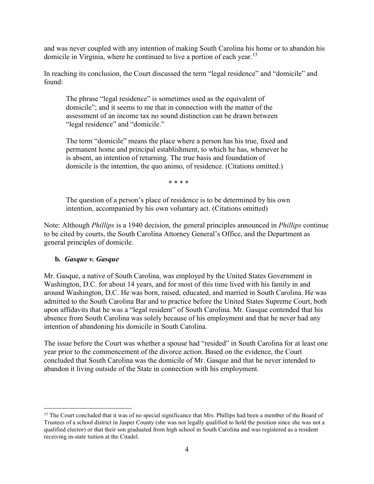and was never coupled with any intention of making South Carolina his home or to abandon his domicile in Virginia, where he continued to live a portion of each year.<sup>[15](#page-6-0)</sup>

In reaching its conclusion, the Court discussed the term "legal residence" and "domicile" and found:

The phrase "legal residence" is sometimes used as the equivalent of domicile"; and it seems to me that in connection with the matter of the assessment of an income tax no sound distinction can be drawn between "legal residence" and "domicile."

The term "domicile" means the place where a person has his true, fixed and permanent home and principal establishment, to which he has, whenever he is absent, an intention of returning. The true basis and foundation of domicile is the intention, the quo animo, of residence. (Citations omitted.)

\* \* \* \*

The question of a person's place of residence is to be determined by his own intention, accompanied by his own voluntary act. (Citations omitted)

Note: Although *Phillips* is a 1940 decision, the general principles announced in *Phillips* continue to be cited by courts, the South Carolina Attorney General's Office, and the Department as general principles of domicile.

## **b***. Gasque v. Gasque*

Mr. Gasque, a native of South Carolina, was employed by the United States Government in Washington, D.C. for about 14 years, and for most of this time lived with his family in and around Washington, D.C. He was born, raised, educated, and married in South Carolina. He was admitted to the South Carolina Bar and to practice before the United States Supreme Court, both upon affidavits that he was a "legal resident" of South Carolina. Mr. Gasque contended that his absence from South Carolina was solely because of his employment and that he never had any intention of abandoning his domicile in South Carolina.

The issue before the Court was whether a spouse had "resided" in South Carolina for at least one year prior to the commencement of the divorce action. Based on the evidence, the Court concluded that South Carolina was the domicile of Mr. Gasque and that he never intended to abandon it living outside of the State in connection with his employment.

<span id="page-6-0"></span><sup>&</sup>lt;sup>15</sup> The Court concluded that it was of no special significance that Mrs. Phillips had been a member of the Board of Trustees of a school district in Jasper County (she was not legally qualified to hold the position since she was not a qualified elector) or that their son graduated from high school in South Carolina and was registered as a resident receiving in-state tuition at the Citadel.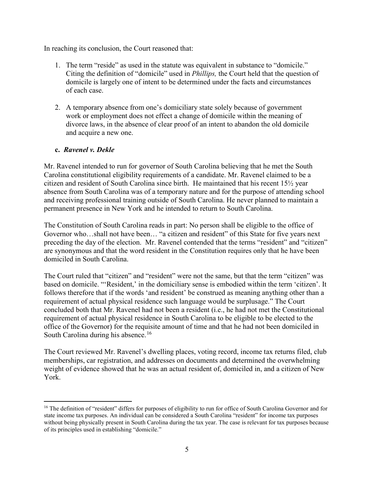In reaching its conclusion, the Court reasoned that:

- 1. The term "reside" as used in the statute was equivalent in substance to "domicile." Citing the definition of "domicile" used in *Phillips,* the Court held that the question of domicile is largely one of intent to be determined under the facts and circumstances of each case.
- 2. A temporary absence from one's domiciliary state solely because of government work or employment does not effect a change of domicile within the meaning of divorce laws, in the absence of clear proof of an intent to abandon the old domicile and acquire a new one.

## **c.** *Ravenel v. Dekle*

Mr. Ravenel intended to run for governor of South Carolina believing that he met the South Carolina constitutional eligibility requirements of a candidate. Mr. Ravenel claimed to be a citizen and resident of South Carolina since birth. He maintained that his recent 15½ year absence from South Carolina was of a temporary nature and for the purpose of attending school and receiving professional training outside of South Carolina. He never planned to maintain a permanent presence in New York and he intended to return to South Carolina.

The Constitution of South Carolina reads in part: No person shall be eligible to the office of Governor who…shall not have been… "a citizen and resident" of this State for five years next preceding the day of the election. Mr. Ravenel contended that the terms "resident" and "citizen" are synonymous and that the word resident in the Constitution requires only that he have been domiciled in South Carolina.

The Court ruled that "citizen" and "resident" were not the same, but that the term "citizen" was based on domicile. "'Resident,' in the domiciliary sense is embodied within the term 'citizen'. It follows therefore that if the words 'and resident' be construed as meaning anything other than a requirement of actual physical residence such language would be surplusage." The Court concluded both that Mr. Ravenel had not been a resident (i.e., he had not met the Constitutional requirement of actual physical residence in South Carolina to be eligible to be elected to the office of the Governor) for the requisite amount of time and that he had not been domiciled in South Carolina during his absence.<sup>[16](#page-7-0)</sup>

The Court reviewed Mr. Ravenel's dwelling places, voting record, income tax returns filed, club memberships, car registration, and addresses on documents and determined the overwhelming weight of evidence showed that he was an actual resident of, domiciled in, and a citizen of New York.

<span id="page-7-0"></span><sup>&</sup>lt;sup>16</sup> The definition of "resident" differs for purposes of eligibility to run for office of South Carolina Governor and for state income tax purposes. An individual can be considered a South Carolina "resident" for income tax purposes without being physically present in South Carolina during the tax year. The case is relevant for tax purposes because of its principles used in establishing "domicile."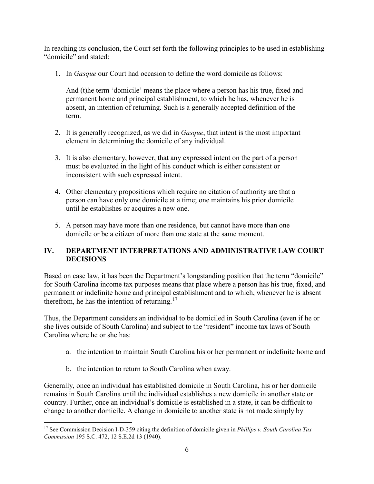In reaching its conclusion, the Court set forth the following principles to be used in establishing "domicile" and stated:

1. In *Gasque* our Court had occasion to define the word domicile as follows:

And (t)he term 'domicile' means the place where a person has his true, fixed and permanent home and principal establishment, to which he has, whenever he is absent, an intention of returning. Such is a generally accepted definition of the term.

- 2. It is generally recognized, as we did in *Gasque*, that intent is the most important element in determining the domicile of any individual.
- 3. It is also elementary, however, that any expressed intent on the part of a person must be evaluated in the light of his conduct which is either consistent or inconsistent with such expressed intent.
- 4. Other elementary propositions which require no citation of authority are that a person can have only one domicile at a time; one maintains his prior domicile until he establishes or acquires a new one.
- 5. A person may have more than one residence, but cannot have more than one domicile or be a citizen of more than one state at the same moment.

## **IV. DEPARTMENT INTERPRETATIONS AND ADMINISTRATIVE LAW COURT DECISIONS**

Based on case law, it has been the Department's longstanding position that the term "domicile" for South Carolina income tax purposes means that place where a person has his true, fixed, and permanent or indefinite home and principal establishment and to which, whenever he is absent therefrom, he has the intention of returning.<sup>[17](#page-8-0)</sup>

Thus, the Department considers an individual to be domiciled in South Carolina (even if he or she lives outside of South Carolina) and subject to the "resident" income tax laws of South Carolina where he or she has:

- a. the intention to maintain South Carolina his or her permanent or indefinite home and
- b. the intention to return to South Carolina when away.

Generally, once an individual has established domicile in South Carolina, his or her domicile remains in South Carolina until the individual establishes a new domicile in another state or country. Further, once an individual's domicile is established in a state, it can be difficult to change to another domicile. A change in domicile to another state is not made simply by

<span id="page-8-0"></span> <sup>17</sup> See Commission Decision I-D-359 citing the definition of domicile given in *Phillips v. South Carolina Tax Commission* 195 S.C. 472, 12 S.E.2d 13 (1940).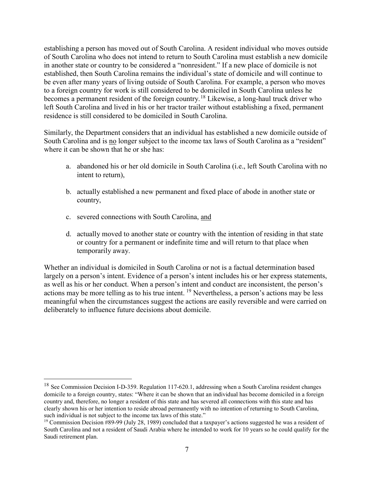establishing a person has moved out of South Carolina. A resident individual who moves outside of South Carolina who does not intend to return to South Carolina must establish a new domicile in another state or country to be considered a "nonresident." If a new place of domicile is not established, then South Carolina remains the individual's state of domicile and will continue to be even after many years of living outside of South Carolina. For example, a person who moves to a foreign country for work is still considered to be domiciled in South Carolina unless he becomes a permanent resident of the foreign country.<sup>[18](#page-9-0)</sup> Likewise, a long-haul truck driver who left South Carolina and lived in his or her tractor trailer without establishing a fixed, permanent residence is still considered to be domiciled in South Carolina.

Similarly, the Department considers that an individual has established a new domicile outside of South Carolina and is no longer subject to the income tax laws of South Carolina as a "resident" where it can be shown that he or she has:

- a. abandoned his or her old domicile in South Carolina (i.e., left South Carolina with no intent to return),
- b. actually established a new permanent and fixed place of abode in another state or country,
- c. severed connections with South Carolina, and
- d. actually moved to another state or country with the intention of residing in that state or country for a permanent or indefinite time and will return to that place when temporarily away.

Whether an individual is domiciled in South Carolina or not is a factual determination based largely on a person's intent. Evidence of a person's intent includes his or her express statements, as well as his or her conduct. When a person's intent and conduct are inconsistent, the person's actions may be more telling as to his true intent. [19](#page-9-1) Nevertheless, a person's actions may be less meaningful when the circumstances suggest the actions are easily reversible and were carried on deliberately to influence future decisions about domicile.

<span id="page-9-0"></span><sup>&</sup>lt;sup>18</sup> See Commission Decision I-D-359. Regulation 117-620.1, addressing when a South Carolina resident changes domicile to a foreign country, states: "Where it can be shown that an individual has become domiciled in a foreign country and, therefore, no longer a resident of this state and has severed all connections with this state and has clearly shown his or her intention to reside abroad permanently with no intention of returning to South Carolina, such individual is not subject to the income tax laws of this state."

<span id="page-9-1"></span><sup>&</sup>lt;sup>19</sup> Commission Decision  $\#89-99$  (July 28, 1989) concluded that a taxpayer's actions suggested he was a resident of South Carolina and not a resident of Saudi Arabia where he intended to work for 10 years so he could qualify for the Saudi retirement plan.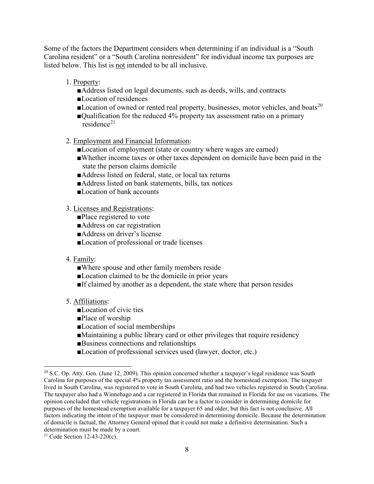Some of the factors the Department considers when determining if an individual is a "South Carolina resident" or a "South Carolina nonresident" for individual income tax purposes are listed below. This list is not intended to be all inclusive.

- 1. Property:
	- ■Address listed on legal documents, such as deeds, wills, and contracts
	- ■Location of residences
	- Location of owned or rented real property, businesses, motor vehicles, and boats<sup>[20](#page-10-0)</sup>
	- ■Qualification for the reduced 4% property tax assessment ratio on a primary  $residence<sup>21</sup>$  $residence<sup>21</sup>$  $residence<sup>21</sup>$
- 2. Employment and Financial Information:
	- ■Location of employment (state or country where wages are earned)
	- ■Whether income taxes or other taxes dependent on domicile have been paid in the state the person claims domicile
	- ■Address listed on federal, state, or local tax returns
	- ■Address listed on bank statements, bills, tax notices
	- ■Location of bank accounts
- 3. Licenses and Registrations:
	- ■Place registered to vote
	- ■Address on car registration
	- ■Address on driver's license
	- ■Location of professional or trade licenses

#### 4. Family:

- ■Where spouse and other family members reside
- ■Location claimed to be the domicile in prior years
- ■If claimed by another as a dependent, the state where that person resides

## 5. Affiliations:

- ■Location of civic ties
- ■Place of worship
- ■Location of social memberships
- ■Maintaining a public library card or other privileges that require residency
- ■Business connections and relationships
- ■Location of professional services used (lawyer, doctor, etc.)

<span id="page-10-0"></span> $20$  S.C. Op. Atty. Gen. (June 12, 2009). This opinion concerned whether a taxpayer's legal residence was South Carolina for purposes of the special 4% property tax assessment ratio and the homestead exemption. The taxpayer lived in South Carolina, was registered to vote in South Carolina, and had two vehicles registered in South Carolina. The taxpayer also had a Winnebago and a car registered in Florida that remained in Florida for use on vacations. The opinion concluded that vehicle registrations in Florida can be a factor to consider in determining domicile for purposes of the homestead exemption available for a taxpayer 65 and older, but this fact is not conclusive. All factors indicating the intent of the taxpayer must be considered in determining domicile. Because the determination of domicile is factual, the Attorney General opined that it could not make a definitive determination. Such a determination must be made by a court.<br><sup>21</sup> Code Section 12-43-220(c).

<span id="page-10-1"></span>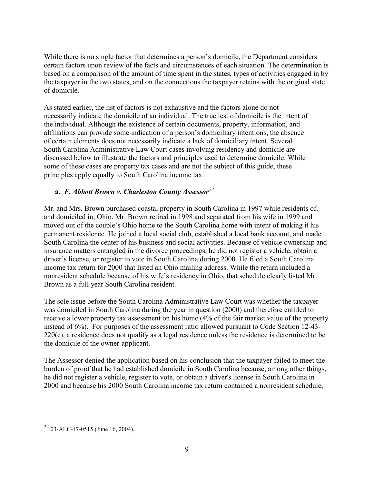While there is no single factor that determines a person's domicile, the Department considers certain factors upon review of the facts and circumstances of each situation. The determination is based on a comparison of the amount of time spent in the states, types of activities engaged in by the taxpayer in the two states, and on the connections the taxpayer retains with the original state of domicile.

As stated earlier, the list of factors is not exhaustive and the factors alone do not necessarily indicate the domicile of an individual. The true test of domicile is the intent of the individual. Although the existence of certain documents, property, information, and affiliations can provide some indication of a person's domiciliary intentions, the absence of certain elements does not necessarily indicate a lack of domiciliary intent. Several South Carolina Administrative Law Court cases involving residency and domicile are discussed below to illustrate the factors and principles used to determine domicile. While some of these cases are property tax cases and are not the subject of this guide, these principles apply equally to South Carolina income tax.

## **a.** *F. Abbott Brown v. Charleston County Assessor[22](#page-11-0)*

Mr. and Mrs. Brown purchased coastal property in South Carolina in 1997 while residents of, and domiciled in, Ohio. Mr. Brown retired in 1998 and separated from his wife in 1999 and moved out of the couple's Ohio home to the South Carolina home with intent of making it his permanent residence. He joined a local social club, established a local bank account, and made South Carolina the center of his business and social activities. Because of vehicle ownership and insurance matters entangled in the divorce proceedings, he did not register a vehicle, obtain a driver's license, or register to vote in South Carolina during 2000. He filed a South Carolina income tax return for 2000 that listed an Ohio mailing address. While the return included a nonresident schedule because of his wife's residency in Ohio, that schedule clearly listed Mr. Brown as a full year South Carolina resident.

The sole issue before the South Carolina Administrative Law Court was whether the taxpayer was domiciled in South Carolina during the year in question (2000) and therefore entitled to receive a lower property tax assessment on his home (4% of the fair market value of the property instead of 6%). For purposes of the assessment ratio allowed pursuant to Code Section 12-43- 220(c), a residence does not qualify as a legal residence unless the residence is determined to be the domicile of the owner-applicant.

The Assessor denied the application based on his conclusion that the taxpayer failed to meet the burden of proof that he had established domicile in South Carolina because, among other things, he did not register a vehicle, register to vote, or obtain a driver's license in South Carolina in 2000 and because his 2000 South Carolina income tax return contained a nonresident schedule,

<span id="page-11-0"></span> <sup>22</sup> 03-ALC-17-0515 (June 16, 2004).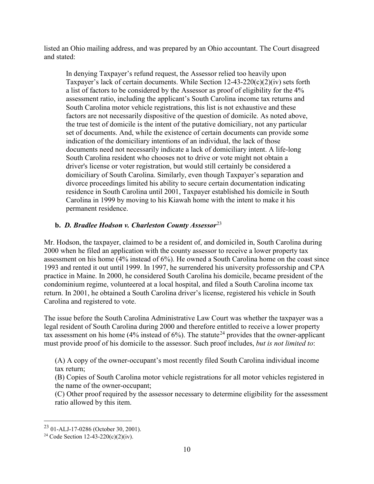listed an Ohio mailing address, and was prepared by an Ohio accountant. The Court disagreed and stated:

In denying Taxpayer's refund request, the Assessor relied too heavily upon Taxpayer's lack of certain documents. While Section  $12-43-220(c)(2)(iv)$  sets forth a list of factors to be considered by the Assessor as proof of eligibility for the 4% assessment ratio, including the applicant's South Carolina income tax returns and South Carolina motor vehicle registrations, this list is not exhaustive and these factors are not necessarily dispositive of the question of domicile. As noted above, the true test of domicile is the intent of the putative domiciliary, not any particular set of documents. And, while the existence of certain documents can provide some indication of the domiciliary intentions of an individual, the lack of those documents need not necessarily indicate a lack of domiciliary intent. A life-long South Carolina resident who chooses not to drive or vote might not obtain a driver's license or voter registration, but would still certainly be considered a domiciliary of South Carolina. Similarly, even though Taxpayer's separation and divorce proceedings limited his ability to secure certain documentation indicating residence in South Carolina until 2001, Taxpayer established his domicile in South Carolina in 1999 by moving to his Kiawah home with the intent to make it his permanent residence.

## **b.** *D. Bradlee Hodson v. Charleston County Assessor*[23](#page-12-0)

Mr. Hodson, the taxpayer, claimed to be a resident of, and domiciled in, South Carolina during 2000 when he filed an application with the county assessor to receive a lower property tax assessment on his home (4% instead of 6%). He owned a South Carolina home on the coast since 1993 and rented it out until 1999. In 1997, he surrendered his university professorship and CPA practice in Maine. In 2000, he considered South Carolina his domicile, became president of the condominium regime, volunteered at a local hospital, and filed a South Carolina income tax return. In 2001, he obtained a South Carolina driver's license, registered his vehicle in South Carolina and registered to vote.

The issue before the South Carolina Administrative Law Court was whether the taxpayer was a legal resident of South Carolina during 2000 and therefore entitled to receive a lower property tax assessment on his home (4% instead of 6%). The statute<sup>[24](#page-12-1)</sup> provides that the owner-applicant must provide proof of his domicile to the assessor. Such proof includes, *but is not limited to*:

(A) A copy of the owner-occupant's most recently filed South Carolina individual income tax return;

(B) Copies of South Carolina motor vehicle registrations for all motor vehicles registered in the name of the owner-occupant;

(C) Other proof required by the assessor necessary to determine eligibility for the assessment ratio allowed by this item.

<span id="page-12-0"></span> <sup>23</sup> 01-ALJ-17-0286 (October 30, 2001).

<span id="page-12-1"></span><sup>&</sup>lt;sup>24</sup> Code Section 12-43-220(c)(2)(iv).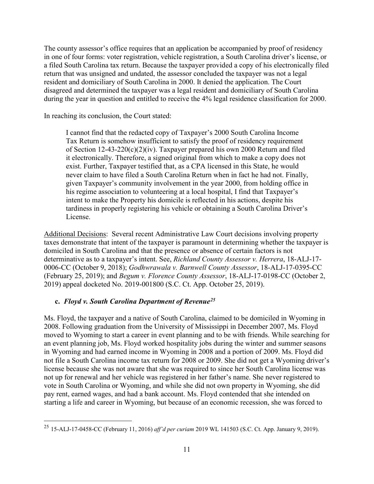The county assessor's office requires that an application be accompanied by proof of residency in one of four forms: voter registration, vehicle registration, a South Carolina driver's license, or a filed South Carolina tax return. Because the taxpayer provided a copy of his electronically filed return that was unsigned and undated, the assessor concluded the taxpayer was not a legal resident and domiciliary of South Carolina in 2000. It denied the application. The Court disagreed and determined the taxpayer was a legal resident and domiciliary of South Carolina during the year in question and entitled to receive the 4% legal residence classification for 2000.

In reaching its conclusion, the Court stated:

I cannot find that the redacted copy of Taxpayer's 2000 South Carolina Income Tax Return is somehow insufficient to satisfy the proof of residency requirement of Section 12-43-220(c)(2)(iv). Taxpayer prepared his own 2000 Return and filed it electronically. Therefore, a signed original from which to make a copy does not exist. Further, Taxpayer testified that, as a CPA licensed in this State, he would never claim to have filed a South Carolina Return when in fact he had not. Finally, given Taxpayer's community involvement in the year 2000, from holding office in his regime association to volunteering at a local hospital, I find that Taxpayer's intent to make the Property his domicile is reflected in his actions, despite his tardiness in properly registering his vehicle or obtaining a South Carolina Driver's License.

Additional Decisions: Several recent Administrative Law Court decisions involving property taxes demonstrate that intent of the taxpayer is paramount in determining whether the taxpayer is domiciled in South Carolina and that the presence or absence of certain factors is not determinative as to a taxpayer's intent. See, *Richland County Assessor v. Herrera*, 18-ALJ-17- 0006-CC (October 9, 2018); *Godhwrawala v. Barnwell County Assessor*, 18-ALJ-17-0395-CC (February 25, 2019); and *Begum v. Florence County Assessor*, 18-ALJ-17-0198-CC (October 2, 2019) appeal docketed No. 2019-001800 (S.C. Ct. App. October 25, 2019).

## **c.** *Floyd v. South Carolina Department of Revenue[25](#page-13-0)*

Ms. Floyd, the taxpayer and a native of South Carolina, claimed to be domiciled in Wyoming in 2008. Following graduation from the University of Mississippi in December 2007, Ms. Floyd moved to Wyoming to start a career in event planning and to be with friends. While searching for an event planning job, Ms. Floyd worked hospitality jobs during the winter and summer seasons in Wyoming and had earned income in Wyoming in 2008 and a portion of 2009. Ms. Floyd did not file a South Carolina income tax return for 2008 or 2009. She did not get a Wyoming driver's license because she was not aware that she was required to since her South Carolina license was not up for renewal and her vehicle was registered in her father's name. She never registered to vote in South Carolina or Wyoming, and while she did not own property in Wyoming, she did pay rent, earned wages, and had a bank account. Ms. Floyd contended that she intended on starting a life and career in Wyoming, but because of an economic recession, she was forced to

<span id="page-13-0"></span> <sup>25</sup> 15-ALJ-17-0458-CC (February 11, 2016) *aff'd per curiam* 2019 WL 141503 (S.C. Ct. App. January 9, 2019).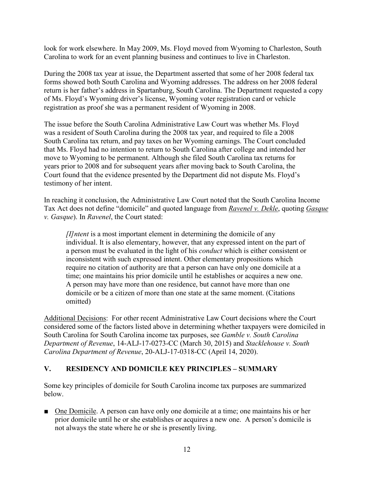look for work elsewhere. In May 2009, Ms. Floyd moved from Wyoming to Charleston, South Carolina to work for an event planning business and continues to live in Charleston.

During the 2008 tax year at issue, the Department asserted that some of her 2008 federal tax forms showed both South Carolina and Wyoming addresses. The address on her 2008 federal return is her father's address in Spartanburg, South Carolina. The Department requested a copy of Ms. Floyd's Wyoming driver's license, Wyoming voter registration card or vehicle registration as proof she was a permanent resident of Wyoming in 2008.

The issue before the South Carolina Administrative Law Court was whether Ms. Floyd was a resident of South Carolina during the 2008 tax year, and required to file a 2008 South Carolina tax return, and pay taxes on her Wyoming earnings. The Court concluded that Ms. Floyd had no intention to return to South Carolina after college and intended her move to Wyoming to be permanent. Although she filed South Carolina tax returns for years prior to 2008 and for subsequent years after moving back to South Carolina, the Court found that the evidence presented by the Department did not dispute Ms. Floyd's testimony of her intent.

In reaching it conclusion, the Administrative Law Court noted that the South Carolina Income Tax Act does not define "domicile" and quoted language from *Ravenel v. Dekle*, quoting *Gasque v. Gasque*). In *Ravenel*, the Court stated:

*[I]ntent* is a most important element in determining the domicile of any individual. It is also elementary, however, that any expressed intent on the part of a person must be evaluated in the light of his *conduct* which is either consistent or inconsistent with such expressed intent. Other elementary propositions which require no citation of authority are that a person can have only one domicile at a time; one maintains his prior domicile until he establishes or acquires a new one. A person may have more than one residence, but cannot have more than one domicile or be a citizen of more than one state at the same moment. (Citations omitted)

Additional Decisions: For other recent Administrative Law Court decisions where the Court considered some of the factors listed above in determining whether taxpayers were domiciled in South Carolina for South Carolina income tax purposes, see *Gamble v. South Carolina Department of Revenue*, 14-ALJ-17-0273-CC (March 30, 2015) and *Stacklehouse v. South Carolina Department of Revenue*, 20-ALJ-17-0318-CC (April 14, 2020).

## **V. RESIDENCY AND DOMICILE KEY PRINCIPLES – SUMMARY**

Some key principles of domicile for South Carolina income tax purposes are summarized below.

■ One Domicile. A person can have only one domicile at a time; one maintains his or her prior domicile until he or she establishes or acquires a new one. A person's domicile is not always the state where he or she is presently living.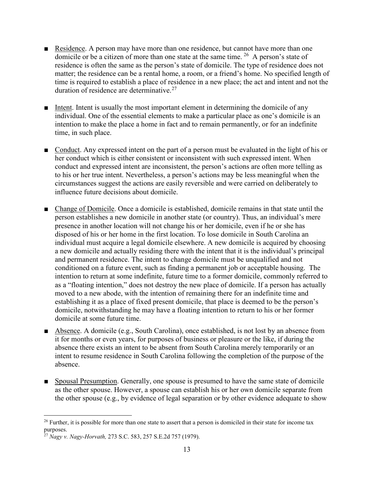- Residence. A person may have more than one residence, but cannot have more than one domicile or be a citizen of more than one state at the same time. <sup>[26](#page-15-0)</sup> A person's state of residence is often the same as the person's state of domicile. The type of residence does not matter; the residence can be a rental home, a room, or a friend's home. No specified length of time is required to establish a place of residence in a new place; the act and intent and not the duration of residence are determinative. $27$
- Intent. Intent is usually the most important element in determining the domicile of any individual. One of the essential elements to make a particular place as one's domicile is an intention to make the place a home in fact and to remain permanently, or for an indefinite time, in such place.
- Conduct. Any expressed intent on the part of a person must be evaluated in the light of his or her conduct which is either consistent or inconsistent with such expressed intent. When conduct and expressed intent are inconsistent, the person's actions are often more telling as to his or her true intent. Nevertheless, a person's actions may be less meaningful when the circumstances suggest the actions are easily reversible and were carried on deliberately to influence future decisions about domicile.
- Change of Domicile. Once a domicile is established, domicile remains in that state until the person establishes a new domicile in another state (or country). Thus, an individual's mere presence in another location will not change his or her domicile, even if he or she has disposed of his or her home in the first location. To lose domicile in South Carolina an individual must acquire a legal domicile elsewhere. A new domicile is acquired by choosing a new domicile and actually residing there with the intent that it is the individual's principal and permanent residence. The intent to change domicile must be unqualified and not conditioned on a future event, such as finding a permanent job or acceptable housing. The intention to return at some indefinite, future time to a former domicile, commonly referred to as a "floating intention," does not destroy the new place of domicile. If a person has actually moved to a new abode, with the intention of remaining there for an indefinite time and establishing it as a place of fixed present domicile, that place is deemed to be the person's domicile, notwithstanding he may have a floating intention to return to his or her former domicile at some future time.
- Absence. A domicile (e.g., South Carolina), once established, is not lost by an absence from it for months or even years, for purposes of business or pleasure or the like, if during the absence there exists an intent to be absent from South Carolina merely temporarily or an intent to resume residence in South Carolina following the completion of the purpose of the absence.
- Spousal Presumption. Generally, one spouse is presumed to have the same state of domicile as the other spouse. However, a spouse can establish his or her own domicile separate from the other spouse (e.g., by evidence of legal separation or by other evidence adequate to show

<span id="page-15-0"></span> $26$  Further, it is possible for more than one state to assert that a person is domiciled in their state for income tax purposes.

<span id="page-15-1"></span><sup>27</sup> *Nagy v. Nagy-Horvath,* 273 S.C. 583, 257 S.E.2d 757 (1979).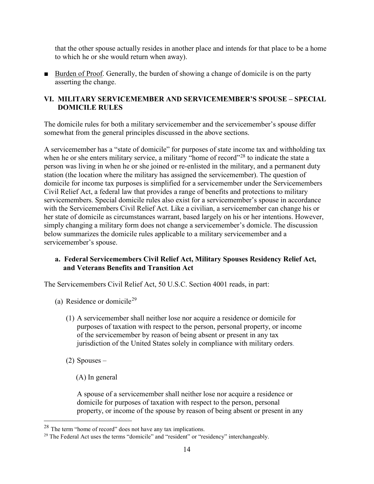that the other spouse actually resides in another place and intends for that place to be a home to which he or she would return when away).

■ Burden of Proof. Generally, the burden of showing a change of domicile is on the party asserting the change.

## **VI. MILITARY SERVICEMEMBER AND SERVICEMEMBER'S SPOUSE – SPECIAL DOMICILE RULES**

The domicile rules for both a military servicemember and the servicemember's spouse differ somewhat from the general principles discussed in the above sections.

A servicemember has a "state of domicile" for purposes of state income tax and withholding tax when he or she enters military service, a military "home of record"<sup>[28](#page-16-0)</sup> to indicate the state a person was living in when he or she joined or re-enlisted in the military, and a permanent duty station (the location where the military has assigned the servicemember). The question of domicile for income tax purposes is simplified for a servicemember under the Servicemembers Civil Relief Act, a federal law that provides a range of benefits and protections to military servicemembers. Special domicile rules also exist for a servicemember's spouse in accordance with the Servicemembers Civil Relief Act. Like a civilian, a servicemember can change his or her state of domicile as circumstances warrant, based largely on his or her intentions. However, simply changing a military form does not change a servicemember's domicle. The discussion below summarizes the domicile rules applicable to a military servicemember and a servicemember's spouse.

## **a. Federal Servicemembers Civil Relief Act, Military Spouses Residency Relief Act, and Veterans Benefits and Transition Act**

The Servicemembers Civil Relief Act, 50 U.S.C. Section 4001 reads, in part:

- (a) Residence or domicile<sup>[29](#page-16-1)</sup>
	- (1) A servicemember shall neither lose nor acquire a residence or domicile for purposes of taxation with respect to the person, personal property, or income of the servicemember by reason of being absent or present in any tax jurisdiction of the United States solely in compliance with military orders.
	- (2) Spouses
		- (A) In general

A spouse of a servicemember shall neither lose nor acquire a residence or domicile for purposes of taxation with respect to the person, personal property, or income of the spouse by reason of being absent or present in any

<span id="page-16-1"></span><span id="page-16-0"></span><sup>&</sup>lt;sup>28</sup> The term "home of record" does not have any tax implications.<br><sup>29</sup> The Federal Act uses the terms "domicile" and "resident" or "residency" interchangeably.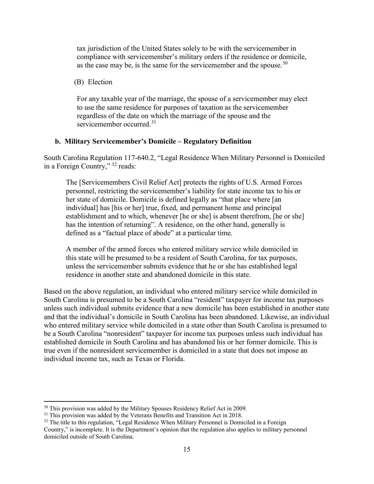tax jurisdiction of the United States solely to be with the servicemember in compliance with servicemember's military orders if the residence or domicile, as the case may be, is the same for the servicemember and the spouse.  $30$ 

(B) Election

For any taxable year of the marriage, the spouse of a servicemember may elect to use the same residence for purposes of taxation as the servicemember regardless of the date on which the marriage of the spouse and the servicemember occurred.<sup>[31](#page-17-1)</sup>

#### **b. Military Servicemember's Domicile – Regulatory Definition**

South Carolina Regulation 117-640.2, "Legal Residence When Military Personnel is Domiciled in a Foreign Country," [32](#page-17-2) reads:

The [Servicemembers Civil Relief Act] protects the rights of U.S. Armed Forces personnel, restricting the servicemember's liability for state income tax to his or her state of domicile. Domicile is defined legally as "that place where [an individual] has [his or her] true, fixed, and permanent home and principal establishment and to which, whenever [he or she] is absent therefrom, [he or she] has the intention of returning". A residence, on the other hand, generally is defined as a "factual place of abode" at a particular time.

A member of the armed forces who entered military service while domiciled in this state will be presumed to be a resident of South Carolina, for tax purposes, unless the servicemember submits evidence that he or she has established legal residence in another state and abandoned domicile in this state.

Based on the above regulation, an individual who entered military service while domiciled in South Carolina is presumed to be a South Carolina "resident" taxpayer for income tax purposes unless such individual submits evidence that a new domicile has been established in another state and that the individual's domicile in South Carolina has been abandoned. Likewise, an individual who entered military service while domiciled in a state other than South Carolina is presumed to be a South Carolina "nonresident" taxpayer for income tax purposes unless such individual has established domicile in South Carolina and has abandoned his or her former domicile. This is true even if the nonresident servicemember is domiciled in a state that does not impose an individual income tax, such as Texas or Florida.

<span id="page-17-0"></span> $30$  This provision was added by the Military Spouses Residency Relief Act in 2009.<br> $31$  This provision was added by the Veterans Benefits and Transition Act in 2018.

<span id="page-17-1"></span>

<span id="page-17-2"></span><sup>&</sup>lt;sup>32</sup> The title to this regulation, "Legal Residence When Military Personnel is Domiciled in a Foreign

Country," is incomplete. It is the Department's opinion that the regulation also applies to military personnel domiciled outside of South Carolina.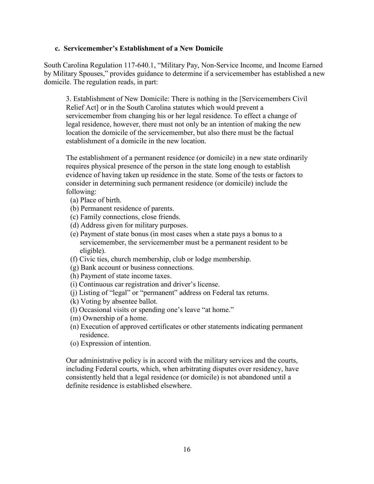#### **c. Servicemember's Establishment of a New Domicile**

South Carolina Regulation 117-640.1, "Military Pay, Non-Service Income, and Income Earned by Military Spouses," provides guidance to determine if a servicemember has established a new domicile. The regulation reads, in part:

3. Establishment of New Domicile: There is nothing in the [Servicemembers Civil Relief Act] or in the South Carolina statutes which would prevent a servicemember from changing his or her legal residence. To effect a change of legal residence, however, there must not only be an intention of making the new location the domicile of the servicemember, but also there must be the factual establishment of a domicile in the new location.

The establishment of a permanent residence (or domicile) in a new state ordinarily requires physical presence of the person in the state long enough to establish evidence of having taken up residence in the state. Some of the tests or factors to consider in determining such permanent residence (or domicile) include the following:

- (a) Place of birth.
- (b) Permanent residence of parents.
- (c) Family connections, close friends.
- (d) Address given for military purposes.
- (e) Payment of state bonus (in most cases when a state pays a bonus to a servicemember, the servicemember must be a permanent resident to be eligible).
- (f) Civic ties, church membership, club or lodge membership.
- (g) Bank account or business connections.
- (h) Payment of state income taxes.
- (i) Continuous car registration and driver's license.
- (j) Listing of "legal" or "permanent" address on Federal tax returns.
- (k) Voting by absentee ballot.
- (l) Occasional visits or spending one's leave "at home."
- (m) Ownership of a home.
- (n) Execution of approved certificates or other statements indicating permanent residence.
- (o) Expression of intention.

Our administrative policy is in accord with the military services and the courts, including Federal courts, which, when arbitrating disputes over residency, have consistently held that a legal residence (or domicile) is not abandoned until a definite residence is established elsewhere.